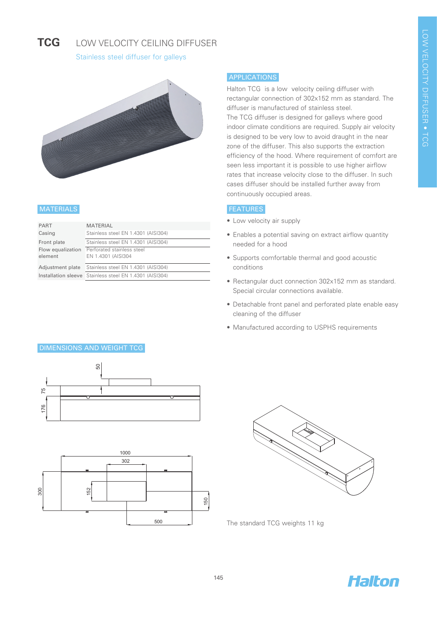#### **TCG**  LOW VELOCITY CEILING DIFFUSER

Stainless steel diffuser for galleys



### **MATERIALS**

| <b>PART</b>       | <b>MATERIAL</b>                                         |
|-------------------|---------------------------------------------------------|
| Casing            | Stainless steel EN 1.4301 (AISI304)                     |
| Front plate       | Stainless steel EN 1.4301 (AISI304)                     |
| Flow equalization | Perforated stainless steel                              |
| element           | EN 1.4301 (AISI304                                      |
| Adjustment plate  | Stainless steel EN 1.4301 (AISI304)                     |
|                   | Installation sleeve Stainless steel EN 1.4301 (AISI304) |

### APPLICATIONS

Halton TCG is a low velocity ceiling diffuser with rectangular connection of 302x152 mm as standard. The diffuser is manufactured of stainless steel. The TCG diffuser is designed for galleys where good indoor climate conditions are required. Supply air velocity is designed to be very low to avoid draught in the near zone of the diffuser. This also supports the extraction efficiency of the hood. Where requirement of comfort are seen less important it is possible to use higher airflow rates that increase velocity close to the diffuser. In such cases diffuser should be installed further away from continuously occupied areas.

### **FEATURES**

- Low velocity air supply
- Enables a potential saving on extract airflow quantity needed for a hood
- Supports comfortable thermal and good acoustic conditions
- Rectangular duct connection 302x152 mm as standard. Special circular connections available.
- Detachable front panel and perforated plate enable easy cleaning of the diffuser
- Manufactured according to USPHS requirements







The standard TCG weights 11 kg



# DIMENSIONS AND WEIGHT TCG